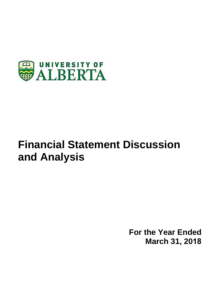

# **Financial Statement Discussion and Analysis**

**For the Year Ended March 31, 2018**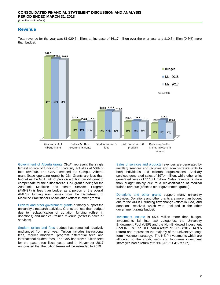# **Revenue**

Total revenue for the year was \$1,929.7 million, an increase of \$61.7 million over the prior year and \$10.6 million (0.6%) more than budget.



Government of Alberta grants (GoA) represent the single largest source of funding for university activities at 50% of total revenue. The GoA increased the Campus Alberta grant (base operating grant) by 2%. Grants are less than budget as the GoA did not provide a tuition backfill grant to compensate for the tuition freeze. GoA grant funding for the Academic Medicine and Health Services Program (AMHSP) is less than budget as a portion of the overall AMHSP funding now comes from the Department of Medicine Practitioners Association (offset in other grants).

Federal and other government grants primarily support the university's research activities. Grants are less than budget due to reclassification of donation funding (offset in donations) and medical trainee revenue (offset in sales of services).

Student tuition and fees budget has remained relatively unchanged from prior year. Tuition includes instructional fees, market modifiers, program differential fees and international student fees. The GoA has frozen tuition fees for the past three fiscal years and in November 2017 announced that the tuition freeze will be extended to 2019.

Sales of services and products revenues are generated by ancillary services and faculties and administrative units to both individuals and external organizations. Ancillary services generated sales of \$97.4 million, while other units generated sales of \$118.1 million. Sales revenue is more than budget mainly due to a reclassification of medical trainee revenue (offset in other government grants).

Donations and other grants support many university activities. Donations and other grants are more than budget due to the AMHSP funding flow change (offset in GoA) and donations received which were included in the other government grants budget.

Investment income is \$5.4 million more than budget. Investments fall into two categories, the University Endowment Pool (UEP) and the Non-Endowed Investment Pool (NEIP). The UEP had a return of 8.0% (2017: 14.9% return) and represents the majority of the university's longterm investment strategy. The NEIP investments which are allocated to the short-, mid- and long-term investment strategies had a return of 2.9% (2017: 4.4% return).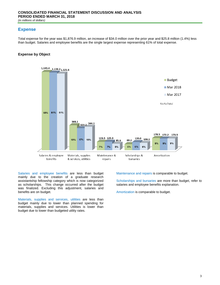# **Expense**

Total expense for the year was \$1,876.9 million, an increase of \$34.0 million over the prior year and \$25.8 million (1.4%) less than budget. Salaries and employee benefits are the single largest expense representing 61% of total expense.

## **Expense by Object**



Salaries and employee benefits are less than budget mainly due to the creation of a graduate research assistantship fellowship category which is now categorized as scholarships. This change occurred after the budget was finalized. Excluding this adjustment, salaries and benefits are on budget.

Materials, supplies and services, utilities are less than budget mainly due to lower than planned spending for materials, supplies and services. Utilities is lower than budget due to lower than budgeted utility rates.

Maintenance and repairs is comparable to budget.

Scholarships and bursaries are more than budget, refer to salaries and employee benefits explanation.

Amortization is comparable to budget.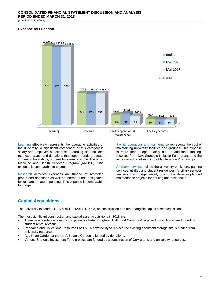### **Expense by Function**



Learning effectively represents the operating activities of the university. A significant component of this category is salary and employee benefit costs. Learning also includes restricted grants and donations that support undergraduate student scholarships, student bursaries and the Academic Medicine and Health Services Program (AMHSP). This expense is comparable to budget.

Research activities expenses are funded by restricted grants and donations as well as internal funds designated for research related spending. This expense is comparable to budget.

Facility operations and maintenance represents the cost of maintaining university facilities and grounds. This expense is more than budget mainly due to additional funding, received from GoA Strategic Initiative Fund grants and the increase in the Infrastructure Maintenance Program grant.

Ancillary services include the university bookstore, parking services, utilities and student residences. Ancillary services are less than budget mainly due to the delay in planned maintenance projects for parking and residences.

# **Capital Acquisitions**

The university expended \$197.9 million (2017: \$145.3) on construction and other tangible capital asset acquisitions.

The most significant construction and capital asset acquisitions in 2018 are:

- Three new residence construction projects Peter Lougheed Hall, East Campus Village and Lister Tower are funded by student rental revenue.
- Research and Collections Resource Facility a new facility to replace the existing document storage site is funded from university resources.
- Aga Khan Garden at the UofA Botanic Garden is funded by donations.
- Various Strategic Investment Fund projects are funded by a combination of GoA grants and university resources.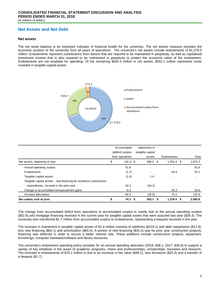# **Net Assets and Net Debt**

#### **Net assets**

The net asset balance is an important indicator of financial health for the university. The net assets measure provides the economic position of the university from all years of operations. The university's net assets include endowments of \$1,379.5 million. Endowments represent contributions from donors that are required to be maintained in perpetuity, as well as capitalized investment income that is also required to be maintained in perpetuity to protect the economic value of the endowment. Endowments are not available for spending. Of the remaining \$626.3 million in net assets, \$552.1 million represents funds invested in tangible capital assets.



|                                                                    | Accumulated<br>(deficit) surplus |                   |  | Investment in<br>tangible capital |  |                |         |
|--------------------------------------------------------------------|----------------------------------|-------------------|--|-----------------------------------|--|----------------|---------|
|                                                                    |                                  |                   |  |                                   |  |                |         |
|                                                                    |                                  | from operations   |  | assets                            |  | Endowments     | Total   |
| Net assets, beginning of year                                      | \$                               | $(16.1)$ \$       |  | 585.0 \$                          |  | $1,304.3$ \$   | 1,873.2 |
| Annual operating surplus                                           |                                  | 52.8              |  | $\blacksquare$                    |  | $\blacksquare$ | 52.8    |
| Endowments                                                         |                                  | (1.7)             |  | $\overline{\phantom{a}}$          |  | 54.9           | 53.2    |
| Tangible capital assets                                            |                                  | (1.4)             |  | 1.4                               |  | $\blacksquare$ |         |
| Tangible capital assets - new financing for residence construction |                                  |                   |  |                                   |  |                |         |
| expenditures, incurred in the prior year                           |                                  | 34.3              |  | (34.3)                            |  | -              |         |
| Change in accumulated remeasurement gains                          |                                  | 6.3               |  |                                   |  | 20.3           | 26.6    |
| Increase (decrease)                                                |                                  | 90.3              |  | (32.9)                            |  | 75.2           | 132.6   |
| Net assets, end of year                                            | \$                               | 74.2 <sup>5</sup> |  | $552.1$ \$                        |  | $1,379.5$ \$   | 2,005.8 |

The change from accumulated deficit from operations to accumulated surplus is mainly due to the annual operating surplus (\$52.8) and mortgage financing received in the current year for tangible capital assets that were acquired last year (\$34.3). The university also transferred \$1.7 million from accumulated surplus to endowments, representing a bequest received in the year.

The increase in investment in tangible capital assets of \$1.4 million consists of additions (\$103.1) and debt repayments (\$12.9), less new financing (\$54.1) and amortization (\$60.4). A portion of new financing (\$34.3) was for prior year construction projects; financing was deferred in order to secure a better interest rate. These additions include construction projects, equipment, furnishings, computer hardware/software and library resources.

The university's endowment spending policy provides for an annual spending allocation (2018: \$38.1; 2017: \$36.8) to support a variety of key initiatives in the areas of academic programs, chairs and professorships, scholarships, bursaries and research. The increase in endowments of \$75.2 million is due to an increase in fair value (\$48.1), new donations (\$25.4) and a transfer of a bequest (\$1.7).